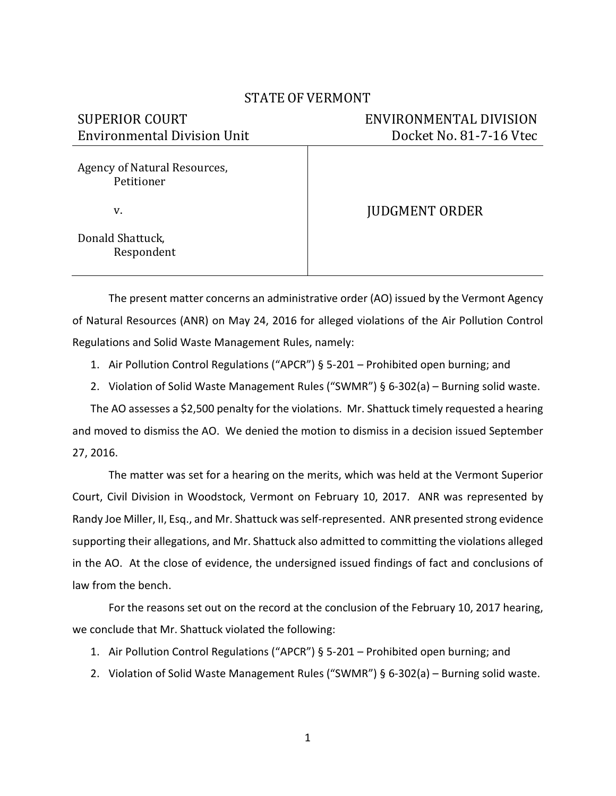## STATE OF VERMONT

| <b>SUPERIOR COURT</b>                      | ENVIRONMENTAL DIVISION  |
|--------------------------------------------|-------------------------|
| <b>Environmental Division Unit</b>         | Docket No. 81-7-16 Vtec |
| Agency of Natural Resources,<br>Petitioner |                         |
| V.                                         | <b>JUDGMENT ORDER</b>   |
| Donald Shattuck,<br>Respondent             |                         |

The present matter concerns an administrative order (AO) issued by the Vermont Agency of Natural Resources (ANR) on May 24, 2016 for alleged violations of the Air Pollution Control Regulations and Solid Waste Management Rules, namely:

- 1. Air Pollution Control Regulations ("APCR") § 5-201 Prohibited open burning; and
- 2. Violation of Solid Waste Management Rules ("SWMR") § 6-302(a) Burning solid waste.

The AO assesses a \$2,500 penalty for the violations. Mr. Shattuck timely requested a hearing and moved to dismiss the AO. We denied the motion to dismiss in a decision issued September 27, 2016.

The matter was set for a hearing on the merits, which was held at the Vermont Superior Court, Civil Division in Woodstock, Vermont on February 10, 2017. ANR was represented by Randy Joe Miller, II, Esq., and Mr. Shattuck was self-represented. ANR presented strong evidence supporting their allegations, and Mr. Shattuck also admitted to committing the violations alleged in the AO. At the close of evidence, the undersigned issued findings of fact and conclusions of law from the bench.

For the reasons set out on the record at the conclusion of the February 10, 2017 hearing, we conclude that Mr. Shattuck violated the following:

- 1. Air Pollution Control Regulations ("APCR") § 5-201 Prohibited open burning; and
- 2. Violation of Solid Waste Management Rules ("SWMR") § 6-302(a) Burning solid waste.

1